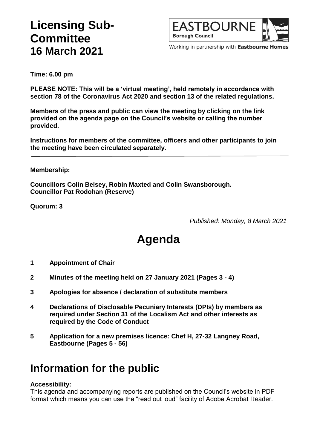## **Licensing Sub-Committee 16 March 2021**



Working in partnership with Eastbourne Homes

**Time: 6.00 pm**

**PLEASE NOTE: This will be a 'virtual meeting', held remotely in accordance with section 78 of the Coronavirus Act 2020 and section 13 of the related regulations.**

**Members of the press and public can view the meeting by clicking on the link provided on the agenda page on the Council's website or calling the number provided.**

**Instructions for members of the committee, officers and other participants to join the meeting have been circulated separately.**

#### **Membership:**

**Councillors Colin Belsey, Robin Maxted and Colin Swansborough. Councillor Pat Rodohan (Reserve)**

**Quorum: 3**

*Published: Monday, 8 March 2021*

# **Agenda**

- **1 Appointment of Chair**
- **2 Minutes of the meeting held on 27 January 2021 (Pages 3 - 4)**
- **3 Apologies for absence / declaration of substitute members**
- **4 Declarations of Disclosable Pecuniary Interests (DPIs) by members as required under Section 31 of the Localism Act and other interests as required by the Code of Conduct**
- **5 Application for a new premises licence: Chef H, 27-32 Langney Road, Eastbourne (Pages 5 - 56)**

### **Information for the public**

#### **Accessibility:**

This agenda and accompanying reports are published on the Council's website in PDF format which means you can use the "read out loud" facility of Adobe Acrobat Reader.